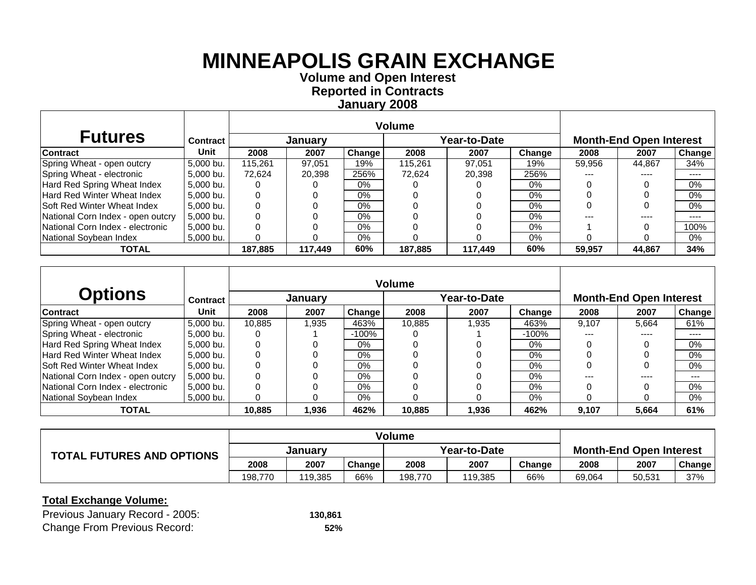**Volume and O pen Interest Re ported in Contracts Januar y 2008**

| <b>Futures</b>                     | <b>Contract</b> |         | January |        |         | Year-to-Date |        |        | <b>Month-End Open Interest</b> |                            |
|------------------------------------|-----------------|---------|---------|--------|---------|--------------|--------|--------|--------------------------------|----------------------------|
| <b>Contract</b>                    | Unit            | 2008    | 2007    | Change | 2008    | 2007         | Change | 2008   | 2007                           | Change                     |
| Spring Wheat - open outcry         | 5.000 bu.       | 115.261 | 97.051  | 19%    | 115.261 | 97.051       | 19%    | 59,956 | 44.867                         | 34%                        |
| Spring Wheat - electronic          | 5,000 bu.       | 72.624  | 20,398  | 256%   | 72,624  | 20,398       | 256%   |        | ----                           | ----                       |
| Hard Red Spring Wheat Index        | 5.000 bu.       |         |         | 0%     |         |              | 0%     |        |                                | $0\%$                      |
| Hard Red Winter Wheat Index        | 5,000 bu.       |         |         | 0%     |         |              | 0%     |        |                                | 0%                         |
| <b>Soft Red Winter Wheat Index</b> | 5.000 bu.       |         |         | $0\%$  |         |              | 0%     |        |                                | 0%                         |
| National Corn Index - open outcry  | 5,000 bu.       |         |         | $0\%$  |         |              | 0%     |        |                                | $\qquad \qquad - \qquad -$ |
| National Corn Index - electronic   | 5,000 bu.       |         |         | $0\%$  |         |              | $0\%$  |        |                                | 100%                       |
| National Soybean Index             | 5,000 bu.       |         |         | 0%     |         |              | 0%     |        |                                | $0\%$                      |
| <b>TOTAL</b>                       |                 | 187,885 | 117,449 | 60%    | 187,885 | 117.449      | 60%    | 59.957 | 44,867                         | 34%                        |

|                                    |             |        |         |          | <b>Volume</b> |              |          |       |                                |               |
|------------------------------------|-------------|--------|---------|----------|---------------|--------------|----------|-------|--------------------------------|---------------|
| <b>Options</b>                     | Contract    |        | Januarv |          |               | Year-to-Date |          |       | <b>Month-End Open Interest</b> |               |
| <b>Contract</b>                    | <b>Unit</b> | 2008   | 2007    | Change   | 2008          | 2007         | Change   | 2008  | 2007                           | <b>Change</b> |
| Spring Wheat - open outcry         | 5,000 bu.   | 10.885 | 1,935   | 463%     | 10,885        | 1.935        | 463%     | 9,107 | 5,664                          | 61%           |
| Spring Wheat - electronic          | 5,000 bu.   |        |         | $-100\%$ |               |              | $-100\%$ | ---   |                                | $---$         |
| Hard Red Spring Wheat Index        | 5.000 bu.   |        | 0       | $0\%$    |               |              | $0\%$    |       |                                | $0\%$         |
| <b>Hard Red Winter Wheat Index</b> | 5.000 bu.   |        |         | 0%       |               |              | 0%       |       |                                | 0%            |
| <b>Soft Red Winter Wheat Index</b> | 5.000 bu.   |        | 0       | $0\%$    |               |              | $0\%$    |       |                                | 0%            |
| National Corn Index - open outcry  | 5,000 bu.   |        | 0       | $0\%$    |               |              | 0%       | ---   |                                | $---$         |
| National Corn Index - electronic   | 5.000 bu.   |        |         | $0\%$    |               |              | $0\%$    |       |                                | 0%            |
| National Sovbean Index             | 5.000 bu.   |        | 0       | $0\%$    |               |              | $0\%$    |       |                                | 0%            |
| <b>TOTAL</b>                       |             | 10,885 | 1,936   | 462%     | 10,885        | 1,936        | 462%     | 9,107 | 5,664                          | 61%           |

| <b>TOTAL FUTURES AND OPTIONS</b> | Januarv |         |               | Year-to-Date |         |        | <b>Month-End Open Interest</b> |        |            |
|----------------------------------|---------|---------|---------------|--------------|---------|--------|--------------------------------|--------|------------|
|                                  | 2008    | 2007    | <b>Change</b> | 2008         | 2007    | Change | 2008                           | 2007   | Change $ $ |
|                                  | 198.770 | 119.385 | 66%           | 198.770      | 119.385 | 66%    | 69,064                         | 50,531 | 37%        |

| Previous January Record - 2005:     | 130.861 |
|-------------------------------------|---------|
| <b>Change From Previous Record:</b> | 52%     |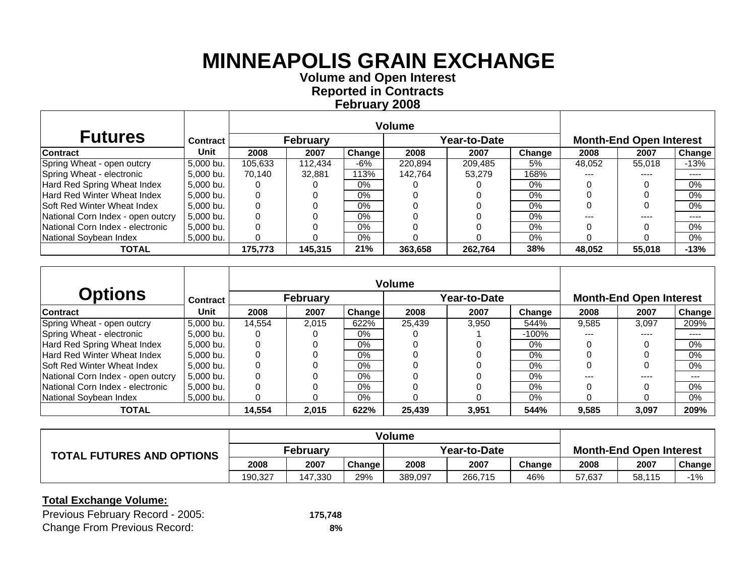**Volume and O pen Interest Re ported in Contracts Februar y 2008**

| <b>Futures</b>                     | Contract  |         | <b>February</b> |        |         | Year-to-Date |        |        | <b>Month-End Open Interest</b> |           |
|------------------------------------|-----------|---------|-----------------|--------|---------|--------------|--------|--------|--------------------------------|-----------|
| <b>Contract</b>                    | Unit      | 2008    | 2007            | Change | 2008    | 2007         | Change | 2008   | 2007                           | Change    |
| Spring Wheat - open outcry         | 5.000 bu. | 105.633 | 112.434         | -6%    | 220.894 | 209.485      | 5%     | 48.052 | 55.018                         | -13%      |
| Spring Wheat - electronic          | 5.000 bu. | 70.140  | 32,881          | 113%   | 142.764 | 53.279       | 168%   | $---$  | ----                           | $- - - -$ |
| Hard Red Spring Wheat Index        | 5.000 bu. |         |                 | $0\%$  |         |              | $0\%$  |        |                                | $0\%$     |
| Hard Red Winter Wheat Index        | 5,000 bu. |         |                 | $0\%$  |         |              | $0\%$  |        |                                | 0%        |
| <b>Soft Red Winter Wheat Index</b> | 5.000 bu. |         |                 | $0\%$  |         |              | $0\%$  |        |                                | 0%        |
| National Corn Index - open outcry  | 5.000 bu. |         |                 | $0\%$  |         |              | $0\%$  |        | ----                           | $- - - -$ |
| National Corn Index - electronic   | 5.000 bu. |         |                 | $0\%$  |         |              | $0\%$  |        |                                | $0\%$     |
| National Soybean Index             | 5,000 bu. |         |                 | $0\%$  |         |              | $0\%$  |        |                                | $0\%$     |
| <b>TOTAL</b>                       |           | 175.773 | 145.315         | 21%    | 363,658 | 262.764      | 38%    | 48,052 | 55,018                         | $-13%$    |

|                                    |                 |        |                 |        | <b>Volume</b> |              |        |       |                                |        |
|------------------------------------|-----------------|--------|-----------------|--------|---------------|--------------|--------|-------|--------------------------------|--------|
| <b>Options</b>                     | <b>Contract</b> |        | <b>February</b> |        |               | Year-to-Date |        |       | <b>Month-End Open Interest</b> |        |
| <b>Contract</b>                    | Unit            | 2008   | 2007            | Change | 2008          | 2007         | Change | 2008  | 2007                           | Change |
| Spring Wheat - open outcry         | 5,000 bu.       | 14.554 | 2.015           | 622%   | 25.439        | 3.950        | 544%   | 9.585 | 3.097                          | 209%   |
| Spring Wheat - electronic          | 5,000 bu.       |        |                 | 0%     |               |              | -100%  | ---   | ----                           | ----   |
| Hard Red Spring Wheat Index        | 5.000 bu.       |        |                 | $0\%$  |               |              | $0\%$  |       |                                | $0\%$  |
| <b>Hard Red Winter Wheat Index</b> | 5,000 bu.       |        |                 | $0\%$  |               |              | $0\%$  |       |                                | 0%     |
| ISoft Red Winter Wheat Index       | 5,000 bu.       |        |                 | $0\%$  |               |              | $0\%$  |       |                                | $0\%$  |
| National Corn Index - open outcry  | 5.000 bu.       | 0      | 0               | $0\%$  |               |              | $0\%$  |       |                                | $---$  |
| National Corn Index - electronic   | 5,000 bu.       |        |                 | $0\%$  |               |              | $0\%$  |       |                                | $0\%$  |
| National Sovbean Index             | 5.000 bu.       |        | 0               | $0\%$  |               |              | $0\%$  |       |                                | $0\%$  |
| <b>TOTAL</b>                       |                 | 14,554 | 2,015           | 622%   | 25,439        | 3,951        | 544%   | 9,585 | 3,097                          | 209%   |

| <b>TOTAL FUTURES AND OPTIONS</b> | <b>February</b> |         |               | Year-to-Date |         |        | <b>Month-End Open Interest</b> |        |        |
|----------------------------------|-----------------|---------|---------------|--------------|---------|--------|--------------------------------|--------|--------|
|                                  | 2008            | 2007    | <b>Change</b> | 2008         | 2007    | Change | 2008                           | 2007   | Change |
|                                  | 190,327         | 147.330 | 29%           | 389,097      | 266,715 | 46%    | 57,637                         | 58,115 | $-1%$  |

| Previous February Record - 2005:    | 175.748 |
|-------------------------------------|---------|
| <b>Change From Previous Record:</b> | 8%      |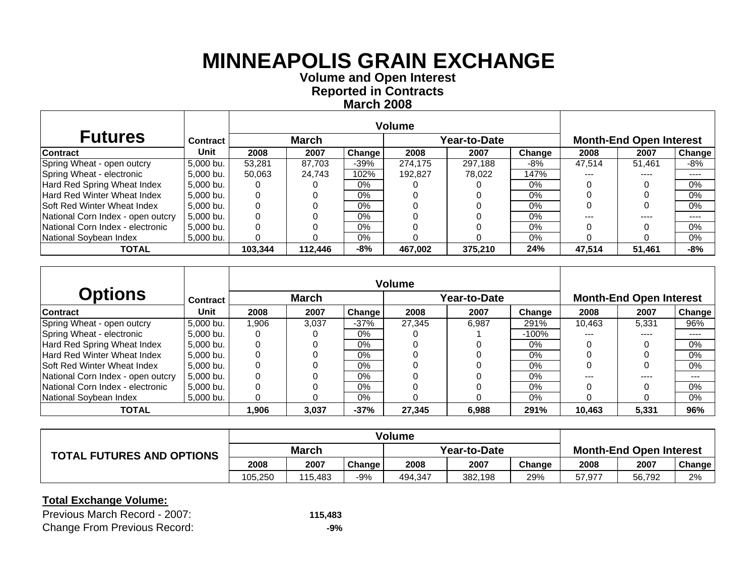**Volume and O pen Interest Re ported in Contracts March 2008**

| <b>Futures</b>                     | Contract  |         | <b>March</b> |        |         | Year-to-Date |        |        | <b>Month-End Open Interest</b> |           |
|------------------------------------|-----------|---------|--------------|--------|---------|--------------|--------|--------|--------------------------------|-----------|
| <b>Contract</b>                    | Unit      | 2008    | 2007         | Change | 2008    | 2007         | Change | 2008   | 2007                           | Change    |
| Spring Wheat - open outcry         | 5.000 bu. | 53.281  | 87.703       | $-39%$ | 274.175 | 297.188      | -8%    | 47.514 | 51.461                         | -8%       |
| Spring Wheat - electronic          | 5.000 bu. | 50,063  | 24,743       | 102%   | 192.827 | 78.022       | 147%   | $---$  | ----                           | $- - - -$ |
| Hard Red Spring Wheat Index        | 5.000 bu. |         |              | $0\%$  |         |              | $0\%$  |        |                                | $0\%$     |
| Hard Red Winter Wheat Index        | 5,000 bu. |         |              | $0\%$  |         |              | $0\%$  |        |                                | 0%        |
| <b>Soft Red Winter Wheat Index</b> | 5.000 bu. |         |              | $0\%$  |         |              | $0\%$  |        |                                | 0%        |
| National Corn Index - open outcry  | 5.000 bu. |         |              | $0\%$  |         |              | $0\%$  |        | ----                           | $- - - -$ |
| National Corn Index - electronic   | 5,000 bu. |         |              | $0\%$  |         |              | $0\%$  |        |                                | $0\%$     |
| National Soybean Index             | 5,000 bu. |         |              | $0\%$  |         |              | 0%     |        |                                | $0\%$     |
| <b>TOTAL</b>                       |           | 103.344 | 112.446      | -8%    | 467,002 | 375.210      | 24%    | 47,514 | 51,461                         | $-8%$     |

|                                    |                 |       |              |               | <b>Volume</b> |              |        |        |                                |        |
|------------------------------------|-----------------|-------|--------------|---------------|---------------|--------------|--------|--------|--------------------------------|--------|
| <b>Options</b>                     | <b>Contract</b> |       | <b>March</b> |               |               | Year-to-Date |        |        | <b>Month-End Open Interest</b> |        |
| <b>Contract</b>                    | Unit            | 2008  | 2007         | <b>Change</b> | 2008          | 2007         | Change | 2008   | 2007                           | Change |
| Spring Wheat - open outcry         | 5,000 bu.       | 1.906 | 3.037        | $-37%$        | 27.345        | 6.987        | 291%   | 10.463 | 5.331                          | 96%    |
| Spring Wheat - electronic          | 5,000 bu.       |       |              | 0%            |               |              | -100%  | ---    | ----                           | ----   |
| Hard Red Spring Wheat Index        | 5.000 bu.       |       |              | $0\%$         |               |              | $0\%$  |        |                                | $0\%$  |
| <b>Hard Red Winter Wheat Index</b> | 5,000 bu.       |       |              | $0\%$         |               |              | $0\%$  |        |                                | $0\%$  |
| ISoft Red Winter Wheat Index       | 5,000 bu.       |       |              | $0\%$         |               |              | $0\%$  |        |                                | $0\%$  |
| National Corn Index - open outcry  | 5.000 bu.       | 0     | 0            | $0\%$         |               |              | $0\%$  |        |                                | $---$  |
| National Corn Index - electronic   | 5,000 bu.       |       |              | $0\%$         |               |              | $0\%$  |        |                                | $0\%$  |
| National Sovbean Index             | 5.000 bu.       | 0     | 0            | $0\%$         |               |              | $0\%$  |        |                                | $0\%$  |
| <b>TOTAL</b>                       |                 | 1,906 | 3,037        | $-37%$        | 27,345        | 6,988        | 291%   | 10.463 | 5,331                          | 96%    |

| <b>TOTAL FUTURES AND OPTIONS</b> | <b>March</b> |         |        | Year-to-Date |         |        | <b>Month-End Open Interest</b> |        |        |
|----------------------------------|--------------|---------|--------|--------------|---------|--------|--------------------------------|--------|--------|
|                                  | 2008         | 2007    | Change | 2008         | 2007    | Change | 2008                           | 2007   | Change |
|                                  | 105,250      | 115.483 | $-9%$  | 494,347      | 382,198 | 29%    | 57.977                         | 56,792 | 2%     |

| Previous March Record - 2007:       | 115.483 |
|-------------------------------------|---------|
| <b>Change From Previous Record:</b> | -9%     |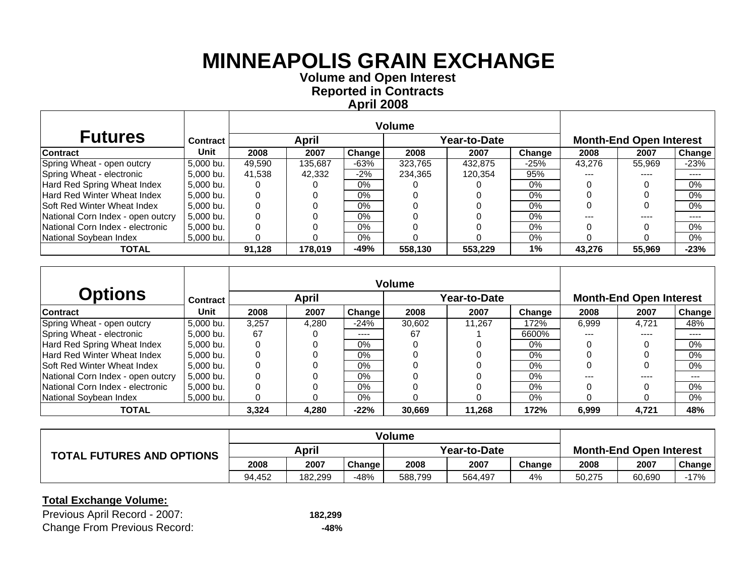**Volume and O pen Interest Re ported in Contracts April 2008**

| <b>Futures</b>                     | <b>Contract</b> |        | April   |        |         | Year-to-Date |        |        | <b>Month-End Open Interest</b> |           |
|------------------------------------|-----------------|--------|---------|--------|---------|--------------|--------|--------|--------------------------------|-----------|
| <b>Contract</b>                    | Unit            | 2008   | 2007    | Change | 2008    | 2007         | Change | 2008   | 2007                           | Change    |
| Spring Wheat - open outcry         | 5,000 bu.       | 49,590 | 135,687 | $-63%$ | 323.765 | 432.875      | $-25%$ | 43.276 | 55,969                         | $-23%$    |
| Spring Wheat - electronic          | 5,000 bu.       | 41,538 | 42,332  | $-2%$  | 234,365 | 120,354      | 95%    | ---    | ----                           | ----      |
| Hard Red Spring Wheat Index        | 5,000 bu.       |        |         | $0\%$  |         |              | 0%     |        |                                | 0%        |
| <b>Hard Red Winter Wheat Index</b> | 5.000 bu.       |        |         | $0\%$  |         |              | $0\%$  |        |                                | $0\%$     |
| <b>Soft Red Winter Wheat Index</b> | 5.000 bu.       |        |         | $0\%$  |         |              | $0\%$  |        |                                | $0\%$     |
| National Corn Index - open outcry  | 5,000 bu.       |        |         | $0\%$  |         |              | 0%     |        |                                | $- - - -$ |
| National Corn Index - electronic   | 5,000 bu.       |        |         | $0\%$  |         |              | 0%     |        |                                | $0\%$     |
| National Soybean Index             | 5,000 bu.       |        |         | 0%     |         |              | 0%     |        |                                | $0\%$     |
| <b>TOTAL</b>                       |                 | 91,128 | 178,019 | $-49%$ | 558,130 | 553,229      | 1%     | 43,276 | 55,969                         | $-23%$    |

|                                    |                 |       |       |        | <b>Volume</b> |              |        |       |                                |                     |
|------------------------------------|-----------------|-------|-------|--------|---------------|--------------|--------|-------|--------------------------------|---------------------|
| <b>Options</b>                     | <b>Contract</b> |       | April |        |               | Year-to-Date |        |       | <b>Month-End Open Interest</b> |                     |
| <b>Contract</b>                    | Unit            | 2008  | 2007  | Change | 2008          | 2007         | Change | 2008  | 2007                           | Change <sup>1</sup> |
| Spring Wheat - open outcry         | 5,000 bu.       | 3,257 | 4.280 | $-24%$ | 30,602        | 11.267       | 172%   | 6.999 | 4.721                          | 48%                 |
| Spring Wheat - electronic          | 5,000 bu.       | 67    |       | ----   | 67            |              | 6600%  | ---   |                                | ----                |
| Hard Red Spring Wheat Index        | 5.000 bu.       | 0     |       | 0%     |               |              | 0%     |       |                                | $0\%$               |
| <b>Hard Red Winter Wheat Index</b> | 5,000 bu.       |       |       | $0\%$  |               |              | 0%     |       |                                | 0%                  |
| <b>Soft Red Winter Wheat Index</b> | 5.000 bu.       |       |       | $0\%$  |               |              | $0\%$  |       |                                | 0%                  |
| National Corn Index - open outcry  | 5,000 bu.       |       |       | $0\%$  |               |              | $0\%$  |       |                                | ---                 |
| National Corn Index - electronic   | 5.000 bu.       |       |       | $0\%$  |               |              | $0\%$  |       |                                | $0\%$               |
| National Soybean Index             | 5,000 bu.       | 0     |       | 0%     |               |              | 0%     |       |                                | 0%                  |
| <b>TOTAL</b>                       |                 | 3,324 | 4,280 | $-22%$ | 30,669        | 11,268       | 172%   | 6,999 | 4,721                          | 48%                 |

|                                  | <b>Volume</b> |         |        |              |         |        |                                |        |               |
|----------------------------------|---------------|---------|--------|--------------|---------|--------|--------------------------------|--------|---------------|
| <b>TOTAL FUTURES AND OPTIONS</b> | April         |         |        | Year-to-Date |         |        | <b>Month-End Open Interest</b> |        |               |
|                                  | 2008          | 2007    | Change | 2008         | 2007    | Change | 2008                           | 2007   | <b>Change</b> |
|                                  | 94.452        | 182.299 | -48%   | 588.799      | 564.497 | 4%     | 50.275                         | 60,690 | $-17%$        |

| Previous April Record - 2007:       | 182,299 |
|-------------------------------------|---------|
| <b>Change From Previous Record:</b> | -48%    |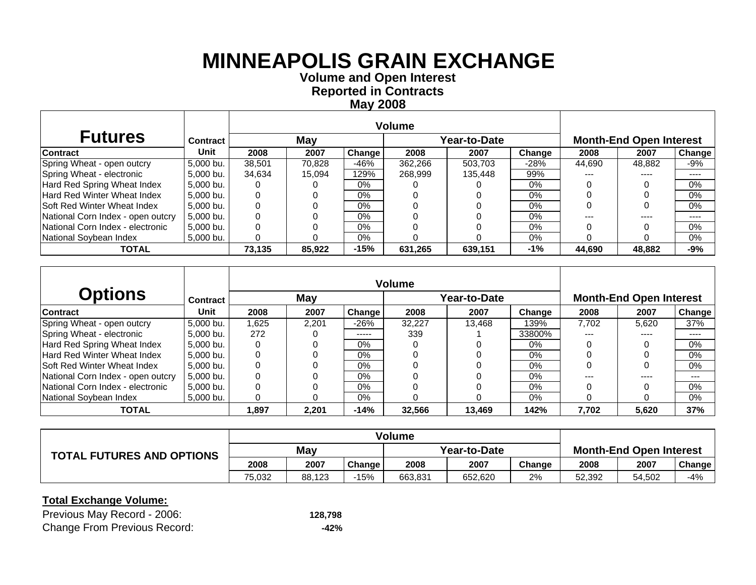**Volume and O pen Interest Re ported in Contracts Ma y 2008**

| <b>Futures</b>                     | <b>Contract</b> |        | May    |        |         | Year-to-Date |        |        | <b>Month-End Open Interest</b> |                            |
|------------------------------------|-----------------|--------|--------|--------|---------|--------------|--------|--------|--------------------------------|----------------------------|
| <b>Contract</b>                    | Unit            | 2008   | 2007   | Change | 2008    | 2007         | Change | 2008   | 2007                           | Change                     |
| Spring Wheat - open outcry         | 5.000 bu.       | 38.501 | 70.828 | -46%   | 362.266 | 503.703      | $-28%$ | 44.690 | 48.882                         | -9%                        |
| Spring Wheat - electronic          | 5.000 bu.       | 34.634 | 15.094 | 129%   | 268.999 | 135.448      | 99%    | ---    | ----                           | ----                       |
| Hard Red Spring Wheat Index        | 5.000 bu.       |        |        | $0\%$  |         |              | 0%     |        |                                | $0\%$                      |
| <b>Hard Red Winter Wheat Index</b> | 5,000 bu.       |        |        | $0\%$  |         |              | 0%     |        |                                | $0\%$                      |
| <b>Soft Red Winter Wheat Index</b> | 5.000 bu.       |        |        | $0\%$  |         |              | 0%     |        |                                | $0\%$                      |
| National Corn Index - open outcry  | 5.000 bu.       |        |        | $0\%$  |         |              | $0\%$  |        | ----                           | $\qquad \qquad - \qquad -$ |
| National Corn Index - electronic   | 5.000 bu.       |        |        | $0\%$  |         |              | $0\%$  |        |                                | $0\%$                      |
| National Soybean Index             | 5,000 bu.       |        |        | $0\%$  |         |              | 0%     |        |                                | $0\%$                      |
| <b>TOTAL</b>                       |                 | 73,135 | 85,922 | $-15%$ | 631,265 | 639.151      | -1%    | 44,690 | 48,882                         | $-9%$                      |

|                                    |             |       |       |        | Volume |                     |        |       |                                |        |
|------------------------------------|-------------|-------|-------|--------|--------|---------------------|--------|-------|--------------------------------|--------|
| <b>Options</b>                     | Contract    |       | May   |        |        | <b>Year-to-Date</b> |        |       | <b>Month-End Open Interest</b> |        |
| <b>Contract</b>                    | <b>Unit</b> | 2008  | 2007  | Change | 2008   | 2007                | Change | 2008  | 2007                           | Change |
| Spring Wheat - open outcry         | 5,000 bu.   | 1.625 | 2.201 | $-26%$ | 32.227 | 13.468              | 139%   | 7.702 | 5,620                          | 37%    |
| Spring Wheat - electronic          | 5,000 bu.   | 272   |       | -----  | 339    |                     | 33800% | ---   | ----                           | ----   |
| Hard Red Spring Wheat Index        | 5.000 bu.   |       |       | 0%     |        |                     | $0\%$  |       |                                | $0\%$  |
| <b>Hard Red Winter Wheat Index</b> | 5.000 bu.   |       |       | 0%     |        |                     | 0%     |       |                                | $0\%$  |
| <b>Soft Red Winter Wheat Index</b> | 5.000 bu.   |       |       | $0\%$  |        |                     | $0\%$  |       |                                | 0%     |
| National Corn Index - open outcry  | 5.000 bu.   |       |       | $0\%$  |        |                     | $0\%$  |       | ----                           | $---$  |
| National Corn Index - electronic   | 5,000 bu.   |       |       | 0%     |        |                     | 0%     |       |                                | $0\%$  |
| National Sovbean Index             | 5.000 bu.   | 0     |       | $0\%$  |        |                     | $0\%$  |       |                                | $0\%$  |
| <b>TOTAL</b>                       |             | 1,897 | 2,201 | $-14%$ | 32,566 | 13,469              | 142%   | 7,702 | 5,620                          | 37%    |

| <b>TOTAL FUTURES AND OPTIONS</b> | May    |        |               | Year-to-Date |         |        | <b>Month-End Open Interest</b> |        |        |
|----------------------------------|--------|--------|---------------|--------------|---------|--------|--------------------------------|--------|--------|
|                                  | 2008   | 2007   | <b>Change</b> | 2008         | 2007    | Change | 2008                           | 2007   | Change |
|                                  | 75.032 | 88,123 | $-15%$        | 663,831      | 652,620 | 2%     | 52,392                         | 54,502 | -4%    |

| Previous May Record - 2006:         | 128,798 |
|-------------------------------------|---------|
| <b>Change From Previous Record:</b> | -42%    |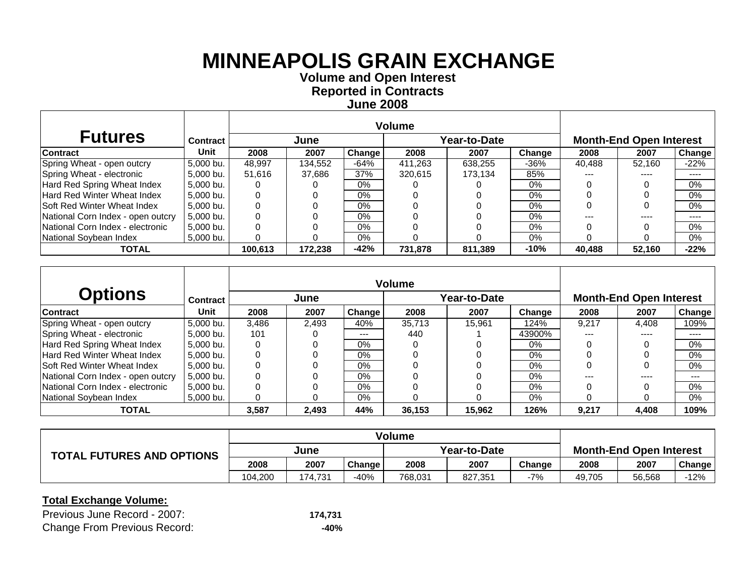**Volume and O pen Interest Re ported in Contracts June 2008**

| <b>Futures</b>                     | Contract  |         | June    |        |         | Year-to-Date |         |        | <b>Month-End Open Interest</b> |           |
|------------------------------------|-----------|---------|---------|--------|---------|--------------|---------|--------|--------------------------------|-----------|
| <b>Contract</b>                    | Unit      | 2008    | 2007    | Change | 2008    | 2007         | Change  | 2008   | 2007                           | Change    |
| Spring Wheat - open outcry         | 5,000 bu. | 48.997  | 134,552 | $-64%$ | 411,263 | 638.255      | $-36\%$ | 40,488 | 52.160                         | $-22%$    |
| Spring Wheat - electronic          | 5,000 bu. | 51,616  | 37,686  | 37%    | 320,615 | 173.134      | 85%     | ---    | ----                           | ----      |
| Hard Red Spring Wheat Index        | 5,000 bu. |         |         | $0\%$  |         |              | 0%      |        |                                | 0%        |
| <b>Hard Red Winter Wheat Index</b> | 5.000 bu. |         |         | $0\%$  |         |              | $0\%$   |        |                                | 0%        |
| <b>Soft Red Winter Wheat Index</b> | 5.000 bu. |         |         | $0\%$  |         |              | $0\%$   |        |                                | 0%        |
| National Corn Index - open outcry  | 5,000 bu. |         |         | $0\%$  |         |              | 0%      |        |                                | $- - - -$ |
| National Corn Index - electronic   | 5,000 bu. |         |         | $0\%$  |         |              | 0%      |        |                                | $0\%$     |
| National Soybean Index             | 5,000 bu. |         |         | 0%     |         |              | 0%      |        |                                | $0\%$     |
| <b>TOTAL</b>                       |           | 100,613 | 172,238 | $-42%$ | 731,878 | 811,389      | $-10%$  | 40,488 | 52,160                         | $-22%$    |

|                                    |             |       |       |         | <b>Volume</b> |                     |        |       |                                |         |
|------------------------------------|-------------|-------|-------|---------|---------------|---------------------|--------|-------|--------------------------------|---------|
| <b>Options</b>                     | Contract    |       | June  |         |               | <b>Year-to-Date</b> |        |       | <b>Month-End Open Interest</b> |         |
| <b>Contract</b>                    | <b>Unit</b> | 2008  | 2007  | Change  | 2008          | 2007                | Change | 2008  | 2007                           | Change  |
| Spring Wheat - open outcry         | 5,000 bu.   | 3.486 | 2.493 | 40%     | 35.713        | 15.961              | 124%   | 9,217 | 4.408                          | 109%    |
| Spring Wheat - electronic          | 5,000 bu.   | 101   |       | $- - -$ | 440           |                     | 43900% | ---   | ----                           | ----    |
| Hard Red Spring Wheat Index        | 5.000 bu.   |       |       | $0\%$   |               |                     | 0%     |       |                                | $0\%$   |
| <b>Hard Red Winter Wheat Index</b> | 5.000 bu.   |       |       | $0\%$   |               |                     | $0\%$  |       |                                | $0\%$   |
| <b>Soft Red Winter Wheat Index</b> | 5.000 bu.   |       |       | 0%      |               |                     | 0%     |       |                                | 0%      |
| National Corn Index - open outcry  | 5.000 bu.   |       |       | $0\%$   |               |                     | $0\%$  |       |                                | $- - -$ |
| National Corn Index - electronic   | 5,000 bu.   |       |       | $0\%$   |               |                     | $0\%$  |       |                                | $0\%$   |
| National Soybean Index             | 5,000 bu.   |       |       | 0%      |               |                     | $0\%$  |       |                                | $0\%$   |
| <b>TOTAL</b>                       |             | 3,587 | 2.493 | 44%     | 36,153        | 15,962              | 126%   | 9,217 | 4,408                          | 109%    |

|                                  | Volume  |         |               |              |         |        |                                |        |        |
|----------------------------------|---------|---------|---------------|--------------|---------|--------|--------------------------------|--------|--------|
| <b>TOTAL FUTURES AND OPTIONS</b> | June    |         |               | Year-to-Date |         |        | <b>Month-End Open Interest</b> |        |        |
|                                  | 2008    | 2007    | <b>Change</b> | 2008         | 2007    | Change | 2008                           | 2007   | Change |
|                                  | 104.200 | 174.731 | -40%          | 768,031      | 827,351 | $-7%$  | 49,705                         | 56,568 | 12%    |

| Previous June Record - 2007:        | 174.731 |
|-------------------------------------|---------|
| <b>Change From Previous Record:</b> | -40%    |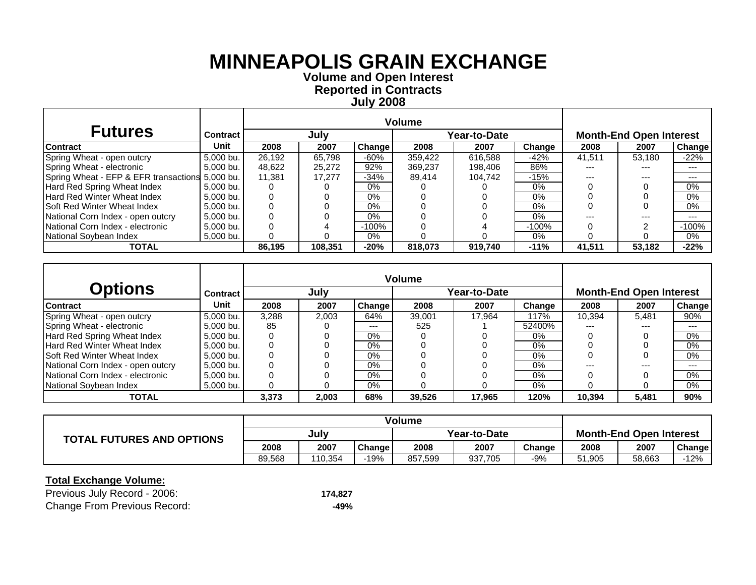**Volume and O pen Interest Re ported in Contracts Jul y 200 8**

| <b>Futures</b>                                  | <b>Contract</b> |        | July    |               |         | Year-to-Date |         |        | <b>Month-End Open Interest</b> |               |
|-------------------------------------------------|-----------------|--------|---------|---------------|---------|--------------|---------|--------|--------------------------------|---------------|
| <b>Contract</b>                                 | Unit            | 2008   | 2007    | <b>Change</b> | 2008    | 2007         | Change  | 2008   | 2007                           | <b>Change</b> |
| Spring Wheat - open outcry                      | 5,000 bu.       | 26.192 | 65.798  | $-60%$        | 359,422 | 616,588      | $-42%$  | 41.511 | 53.180                         | $-22%$        |
| Spring Wheat - electronic                       | 5,000 bu.       | 48,622 | 25,272  | 92%           | 369,237 | 198.406      | 86%     |        | ---                            | $---$         |
| Spring Wheat - EFP & EFR transactions 5,000 bu. |                 | 11.381 | 17.277  | $-34%$        | 89.414  | 104.742      | $-15%$  | ---    | ---                            | $--$          |
| Hard Red Spring Wheat Index                     | 5.000 bu.       |        |         | $0\%$         |         |              | $0\%$   |        |                                | 0%            |
| Hard Red Winter Wheat Index                     | 5.000 bu.       |        |         | 0%            |         |              | $0\%$   |        |                                | 0%            |
| Soft Red Winter Wheat Index                     | 5.000 bu.       |        |         | $0\%$         |         |              | $0\%$   |        |                                | 0%            |
| National Corn Index - open outcry               | 5.000 bu.       |        |         | 0%            |         |              | $0\%$   |        | ---                            | $---$         |
| National Corn Index - electronic                | 5.000 bu.       |        |         | $-100%$       |         |              | $-100%$ |        |                                | $-100%$       |
| National Sovbean Index                          | 5.000 bu.       |        |         | $0\%$         |         |              | $0\%$   |        |                                | 0%            |
| <b>TOTAL</b>                                    |                 | 86.195 | 108.351 | $-20%$        | 818,073 | 919.740      | $-11%$  | 41.511 | 53.182                         | $-22%$        |

|                                    |                 |       |       |        | <b>Volume</b> |              |        |        |                                |        |
|------------------------------------|-----------------|-------|-------|--------|---------------|--------------|--------|--------|--------------------------------|--------|
| <b>Options</b>                     | <b>Contract</b> |       | July  |        |               | Year-to-Date |        |        | <b>Month-End Open Interest</b> |        |
| <b>Contract</b>                    | Unit            | 2008  | 2007  | Change | 2008          | 2007         | Change | 2008   | 2007                           | Change |
| Spring Wheat - open outcry         | 5.000 bu.       | 3.288 | 2.003 | 64%    | 39.001        | 17.964       | 117%   | 10.394 | 5.481                          | 90%    |
| Spring Wheat - electronic          | 5,000 bu.       | 85    |       | ---    | 525           |              | 52400% | ---    | $---$                          | $---$  |
| Hard Red Spring Wheat Index        | 5.000 bu.       |       |       | $0\%$  |               |              | $0\%$  |        |                                | $0\%$  |
| Hard Red Winter Wheat Index        | 5.000 bu.       |       |       | $0\%$  |               |              | 0%     |        |                                | 0%     |
| <b>Soft Red Winter Wheat Index</b> | 5.000 bu.       |       |       | $0\%$  |               |              | $0\%$  |        |                                | 0%     |
| National Corn Index - open outcry  | 5.000 bu.       |       |       | $0\%$  |               |              | 0%     | ---    | $---$                          | $--$   |
| National Corn Index - electronic   | 5,000 bu.       |       |       | $0\%$  |               |              | $0\%$  |        |                                | 0%     |
| National Soybean Index             | 5.000 bu.       |       |       | $0\%$  |               |              | $0\%$  |        |                                | 0%     |
| <b>TOTAL</b>                       |                 | 3,373 | 2,003 | 68%    | 39,526        | 17,965       | 120%   | 10.394 | 5,481                          | 90%    |

|                                  |        |         |        | Volume       |         |        |                                |        |        |
|----------------------------------|--------|---------|--------|--------------|---------|--------|--------------------------------|--------|--------|
| <b>TOTAL FUTURES AND OPTIONS</b> | July   |         |        | Year-to-Date |         |        | <b>Month-End Open Interest</b> |        |        |
|                                  | 2008   | 2007    | Change | 2008         | 2007    | Change | 2008                           | 2007   | Change |
|                                  | 89.568 | 110,354 | -19%   | 857.599      | 937,705 | -9%    | 51.905                         | 58.663 | 12%    |

| Previous July Record - 2006:        | 174.827 |
|-------------------------------------|---------|
| <b>Change From Previous Record:</b> | -49%    |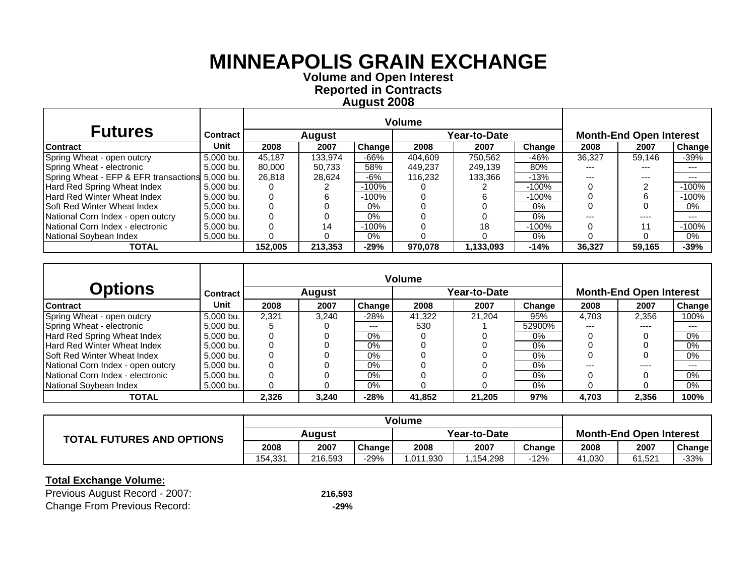**Volume and O pen Interest Re ported in Contracts A u gust 200 8**

| <b>Futures</b>                                  | <b>Contract</b> |         | <b>August</b> |         |         | Year-to-Date |         |        | <b>Month-End Open Interest</b> |               |
|-------------------------------------------------|-----------------|---------|---------------|---------|---------|--------------|---------|--------|--------------------------------|---------------|
| <b>Contract</b>                                 | Unit            | 2008    | 2007          | Change  | 2008    | 2007         | Change  | 2008   | 2007                           | <b>Change</b> |
| Spring Wheat - open outcry                      | 5,000 bu.       | 45.187  | 133,974       | $-66%$  | 404,609 | 750,562      | $-46%$  | 36,327 | 59.146                         | $-39%$        |
| Spring Wheat - electronic                       | 5,000 bu.       | 80.000  | 50.733        | 58%     | 449.237 | 249.139      | 80%     |        | ---                            | ---           |
| Spring Wheat - EFP & EFR transactions 5,000 bu. |                 | 26,818  | 28.624        | $-6%$   | 116.232 | 133.366      | $-13%$  |        | ---                            | ---           |
| Hard Red Spring Wheat Index                     | 5.000 bu.       |         |               | $-100%$ |         |              | $-100%$ |        |                                | $-100%$       |
| Hard Red Winter Wheat Index                     | 5.000 bu.       |         |               | $-100%$ |         |              | $-100%$ |        |                                | $-100%$       |
| Soft Red Winter Wheat Index                     | 5.000 bu.       |         |               | $0\%$   |         |              | $0\%$   |        |                                | 0%            |
| National Corn Index - open outcry               | 5.000 bu.       |         |               | $0\%$   |         |              | $0\%$   |        | ----                           | ---           |
| National Corn Index - electronic                | 5,000 bu.       |         | 14            | $-100%$ |         | 18           | $-100%$ |        | 11                             | $-100%$       |
| National Soybean Index                          | 5,000 bu.       |         |               | 0%      |         |              | $0\%$   |        |                                | 0%            |
| <b>TOTAL</b>                                    |                 | 152.005 | 213.353       | $-29%$  | 970.078 | 1,133,093    | $-14%$  | 36.327 | 59.165                         | $-39%$        |

|                                    |                 |       |               |        | <b>Volume</b> |              |        |       |                                |        |
|------------------------------------|-----------------|-------|---------------|--------|---------------|--------------|--------|-------|--------------------------------|--------|
| <b>Options</b>                     | <b>Contract</b> |       | <b>August</b> |        |               | Year-to-Date |        |       | <b>Month-End Open Interest</b> |        |
| <b>Contract</b>                    | Unit            | 2008  | 2007          | Change | 2008          | 2007         | Change | 2008  | 2007                           | Change |
| Spring Wheat - open outcry         | 5.000 bu.       | 2.321 | 3.240         | $-28%$ | 41.322        | 21.204       | 95%    | 4.703 | 2.356                          | 100%   |
| Spring Wheat - electronic          | 5,000 bu.       |       |               | ---    | 530           |              | 52900% | ---   | ----                           | $---$  |
| Hard Red Spring Wheat Index        | 5.000 bu.       |       |               | $0\%$  |               |              | $0\%$  |       |                                | $0\%$  |
| Hard Red Winter Wheat Index        | 5.000 bu.       |       |               | $0\%$  |               |              | 0%     |       |                                | 0%     |
| <b>Soft Red Winter Wheat Index</b> | 5.000 bu.       |       |               | $0\%$  |               |              | $0\%$  |       |                                | 0%     |
| National Corn Index - open outcry  | 5.000 bu.       |       |               | $0\%$  |               |              | 0%     | ---   | ----                           | $--$   |
| National Corn Index - electronic   | 5,000 bu.       |       |               | $0\%$  |               |              | $0\%$  |       |                                | 0%     |
| National Soybean Index             | 5.000 bu.       |       |               | $0\%$  |               |              | $0\%$  |       |                                | 0%     |
| <b>TOTAL</b>                       |                 | 2,326 | 3,240         | $-28%$ | 41,852        | 21,205       | 97%    | 4,703 | 2,356                          | 100%   |

|                                  | Volume  |         |               |              |          |        |                                |        |        |
|----------------------------------|---------|---------|---------------|--------------|----------|--------|--------------------------------|--------|--------|
| <b>TOTAL FUTURES AND OPTIONS</b> | Auaust  |         |               | Year-to-Date |          |        | <b>Month-End Open Interest</b> |        |        |
|                                  | 2008    | 2007    | <b>Change</b> | 2008         | 2007     | Change | 2008                           | 2007   | Change |
|                                  | 154.331 | 216,593 | -29%          | .011.930     | .154,298 | $-12%$ | 41,030                         | 61.521 | $-33%$ |

| Previous August Record - 2007:      | 216,593 |
|-------------------------------------|---------|
| <b>Change From Previous Record:</b> | -29%    |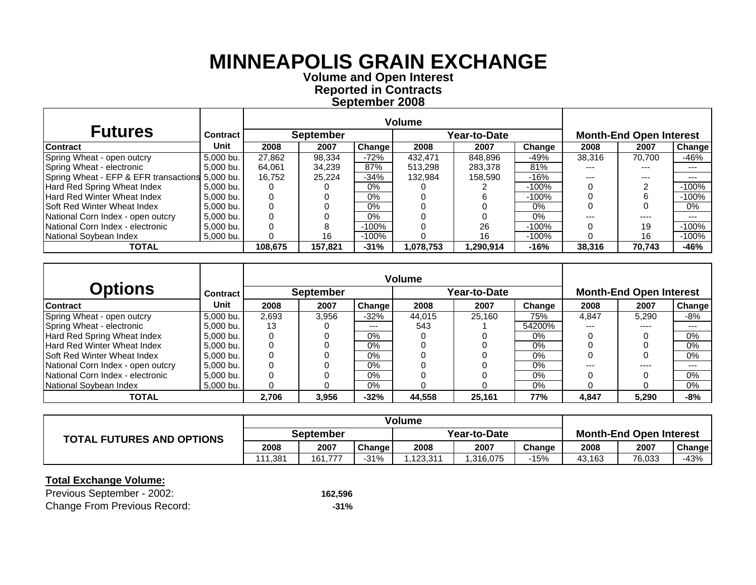**Volume and O pen Interest Re ported in Contracts Se ptember 200 8**

|                                                 |                 |         |                  |          | Volume    |              |         |        |                                |         |
|-------------------------------------------------|-----------------|---------|------------------|----------|-----------|--------------|---------|--------|--------------------------------|---------|
| <b>Futures</b>                                  | <b>Contract</b> |         | <b>September</b> |          |           | Year-to-Date |         |        | <b>Month-End Open Interest</b> |         |
| <b>Contract</b>                                 | Unit            | 2008    | 2007             | Change I | 2008      | 2007         | Change  | 2008   | 2007                           | Change  |
| Spring Wheat - open outcry                      | 5,000 bu.       | 27.862  | 98.334           | $-72%$   | 432.471   | 848,896      | $-49%$  | 38,316 | 70.700                         | -46%    |
| Spring Wheat - electronic                       | 5,000 bu.       | 64,061  | 34,239           | 87%      | 513.298   | 283,378      | 81%     |        | ---                            | ---     |
| Spring Wheat - EFP & EFR transactions 5,000 bu. |                 | 16.752  | 25.224           | $-34%$   | 132,984   | 158.590      | $-16%$  | ---    | ---                            | ---     |
| Hard Red Spring Wheat Index                     | 5,000 bu.       |         |                  | $0\%$    |           |              | -100%   |        |                                | $-100%$ |
| Hard Red Winter Wheat Index                     | 5,000 bu.       |         |                  | 0%       |           |              | $-100%$ |        |                                | $-100%$ |
| <b>Soft Red Winter Wheat Index</b>              | 5.000 bu.       |         |                  | 0%       |           |              | 0%      |        |                                | 0%      |
| National Corn Index - open outcry               | 5.000 bu.       |         |                  | 0%       |           |              | $0\%$   |        | ----                           | ---     |
| National Corn Index - electronic                | 5,000 bu.       |         | 8                | $-100%$  |           | 26           | $-100%$ |        | 19                             | $-100%$ |
| National Soybean Index                          | 5,000 bu.       |         | 16               | $-100%$  |           | 16           | $-100%$ |        | 16                             | $-100%$ |
| <b>TOTAL</b>                                    |                 | 108.675 | 157.821          | $-31%$   | 1,078,753 | 1,290,914    | $-16%$  | 38,316 | 70.743                         | -46%    |

|                                     |                 |       |                  |        | <b>Volume</b> |              |        |       |                                |         |
|-------------------------------------|-----------------|-------|------------------|--------|---------------|--------------|--------|-------|--------------------------------|---------|
| <b>Options</b>                      | <b>Contract</b> |       | <b>September</b> |        |               | Year-to-Date |        |       | <b>Month-End Open Interest</b> |         |
| <b>Contract</b>                     | Unit            | 2008  | 2007             | Change | 2008          | 2007         | Change | 2008  | 2007                           | Change  |
| Spring Wheat - open outcry          | 5.000 bu.       | 2.693 | 3.956            | $-32%$ | 44.015        | 25.160       | 75%    | 4.847 | 5.290                          | $-8%$   |
| Spring Wheat - electronic           | 5,000 bu.       | 13    |                  | ---    | 543           |              | 54200% | ---   | $- - - -$                      | $- - -$ |
| Hard Red Spring Wheat Index         | 5.000 bu.       |       |                  | $0\%$  |               |              | 0%     |       |                                | 0%      |
| Hard Red Winter Wheat Index         | 5.000 bu.       |       |                  | $0\%$  |               |              | $0\%$  |       |                                | 0%      |
| <b>ISoft Red Winter Wheat Index</b> | 5.000 bu.       |       |                  | $0\%$  |               |              | $0\%$  |       |                                | 0%      |
| National Corn Index - open outcry   | 5.000 bu.       |       |                  | $0\%$  |               |              | $0\%$  | ---   | ----                           | $- - -$ |
| National Corn Index - electronic    | 5,000 bu.       |       |                  | $0\%$  |               |              | $0\%$  |       |                                | 0%      |
| National Soybean Index              | 5.000 bu.       |       |                  | $0\%$  |               |              | $0\%$  |       |                                | 0%      |
| <b>TOTAL</b>                        |                 | 2.706 | 3,956            | $-32%$ | 44.558        | 25,161       | 77%    | 4,847 | 5,290                          | -8%     |

|                                  | Volume           |              |        |              |          |        |                                |        |        |
|----------------------------------|------------------|--------------|--------|--------------|----------|--------|--------------------------------|--------|--------|
| <b>TOTAL FUTURES AND OPTIONS</b> | <b>September</b> |              |        | Year-to-Date |          |        | <b>Month-End Open Interest</b> |        |        |
|                                  | 2008             | 2007         | Change | 2008         | 2007     | Change | 2008                           | 2007   | Change |
|                                  | 111.381          | 161.<br>.777 | -31%   | .123.311     | .316,075 | -15%   | 43,163                         | 76,033 | -43%   |

| Previous September - 2002:          | 162.596 |
|-------------------------------------|---------|
| <b>Change From Previous Record:</b> | $-31%$  |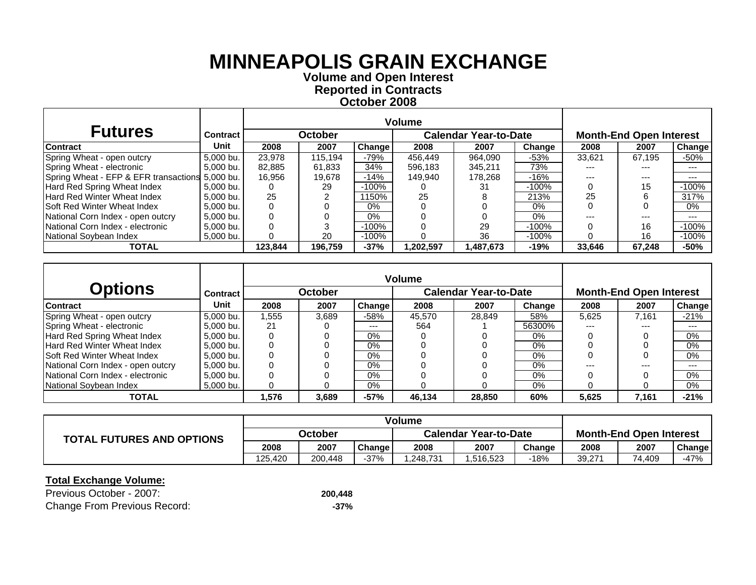**Volume and O pen Interest Re ported in Contracts October 200 8**

| <b>Futures</b>                                  | <b>Contract</b> |         | October |               |            | <b>Calendar Year-to-Date</b> |         |        | <b>Month-End Open Interest</b> |         |
|-------------------------------------------------|-----------------|---------|---------|---------------|------------|------------------------------|---------|--------|--------------------------------|---------|
| Contract                                        | Unit            | 2008    | 2007    | <b>Change</b> | 2008       | 2007                         | Change  | 2008   | 2007                           | Change  |
| Spring Wheat - open outcry                      | 5,000 bu.       | 23,978  | 115.194 | $-79%$        | 456,449    | 964,090                      | $-53%$  | 33.621 | 67.195                         | -50%    |
| Spring Wheat - electronic                       | 5,000 bu.       | 82.885  | 61.833  | 34%           | 596.183    | 345.211                      | 73%     | ---    | ---                            | $--$    |
| Spring Wheat - EFP & EFR transactions 5,000 bu. |                 | 16.956  | 19.678  | $-14%$        | 149.940    | 178.268                      | $-16%$  | ---    | ---                            | $---$   |
| Hard Red Spring Wheat Index                     | 5,000 bu.       |         | 29      | $-100%$       |            | 31                           | $-100%$ |        | 15                             | $-100%$ |
| <b>Hard Red Winter Wheat Index</b>              | 5.000 bu.       | 25      |         | 1150%         | 25         |                              | 213%    | 25     |                                | 317%    |
| <b>Soft Red Winter Wheat Index</b>              | 5.000 bu.       |         |         | $0\%$         |            |                              | $0\%$   |        |                                | 0%      |
| National Corn Index - open outcry               | 5.000 bu.       |         |         | $0\%$         |            |                              | $0\%$   |        | ---                            | $---$   |
| National Corn Index - electronic                | 5.000 bu.       |         |         | $-100%$       |            | 29                           | $-100%$ |        | 16                             | $-100%$ |
| National Sovbean Index                          | 5.000 bu.       |         | 20      | $-100%$       |            | 36                           | $-100%$ |        | 16                             | $-100%$ |
| <b>TOTAL</b>                                    |                 | 123.844 | 196.759 | $-37%$        | 202,597. ا | .487,673                     | $-19%$  | 33.646 | 67,248                         | $-50%$  |

|                                    |                 |       |                |        | <b>Volume</b> |                              |        |       |                                |        |
|------------------------------------|-----------------|-------|----------------|--------|---------------|------------------------------|--------|-------|--------------------------------|--------|
| <b>Options</b>                     | <b>Contract</b> |       | <b>October</b> |        |               | <b>Calendar Year-to-Date</b> |        |       | <b>Month-End Open Interest</b> |        |
| <b>Contract</b>                    | Unit            | 2008  | 2007           | Change | 2008          | 2007                         | Change | 2008  | 2007                           | Change |
| Spring Wheat - open outcry         | 5.000 bu.       | 1.555 | 3.689          | $-58%$ | 45.570        | 28.849                       | 58%    | 5.625 | 7.161                          | $-21%$ |
| Spring Wheat - electronic          | 5,000 bu.       | 21    |                | ---    | 564           |                              | 56300% | ---   | $---$                          | $---$  |
| Hard Red Spring Wheat Index        | 5.000 bu.       |       |                | $0\%$  |               |                              | $0\%$  |       |                                | $0\%$  |
| Hard Red Winter Wheat Index        | 5.000 bu.       |       |                | $0\%$  |               |                              | $0\%$  |       |                                | 0%     |
| <b>Soft Red Winter Wheat Index</b> | 5.000 bu.       |       |                | $0\%$  |               |                              | $0\%$  |       |                                | 0%     |
| National Corn Index - open outcry  | 5.000 bu.       |       |                | $0\%$  |               |                              | 0%     | ---   | $---$                          | $--$   |
| National Corn Index - electronic   | 5,000 bu.       |       |                | $0\%$  |               |                              | $0\%$  |       |                                | 0%     |
| National Soybean Index             | 5.000 bu.       |       |                | $0\%$  |               |                              | $0\%$  |       |                                | 0%     |
| <b>TOTAL</b>                       |                 | 1,576 | 3,689          | $-57%$ | 46,134        | 28,850                       | 60%    | 5,625 | 7,161                          | $-21%$ |

|                                  | Volume  |         |        |                              |          |        |                                |        |        |
|----------------------------------|---------|---------|--------|------------------------------|----------|--------|--------------------------------|--------|--------|
| <b>TOTAL FUTURES AND OPTIONS</b> | October |         |        | <b>Calendar Year-to-Date</b> |          |        | <b>Month-End Open Interest</b> |        |        |
|                                  | 2008    | 2007    | Change | 2008                         | 2007     | Change | 2008                           | 2007   | Change |
|                                  | 125.420 | 200.448 | $-37%$ | .248.731                     | .516,523 | -18%   | 39,271                         | 74.409 | $-47%$ |

| Previous October - 2007:            | 200,448 |
|-------------------------------------|---------|
| <b>Change From Previous Record:</b> | -37%    |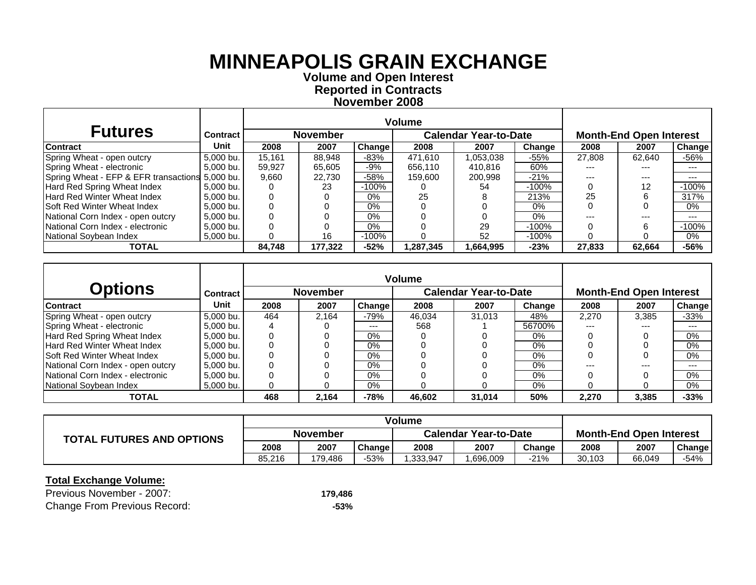**Volume and O pen Interest Re ported in Contracts November 200 8**

| <b>Futures</b>                                  | <b>Contract</b> |        | <b>November</b> |         | <b>Calendar Year-to-Date</b> |           |          | <b>Month-End Open Interest</b> |        |         |
|-------------------------------------------------|-----------------|--------|-----------------|---------|------------------------------|-----------|----------|--------------------------------|--------|---------|
| Contract                                        | Unit            | 2008   | 2007            | Change  | 2008                         | 2007      | Change   | 2008                           | 2007   | Change  |
| Spring Wheat - open outcry                      | 5,000 bu.       | 15.161 | 88.948          | $-83%$  | 471.610                      | 1,053,038 | $-55%$   | 27.808                         | 62.640 | -56%    |
| Spring Wheat - electronic                       | 5,000 bu.       | 59,927 | 65.605          | -9%     | 656.110                      | 410.816   | 60%      |                                | ---    | $---$   |
| Spring Wheat - EFP & EFR transactions 5,000 bu. |                 | 9,660  | 22.730          | $-58%$  | 159,600                      | 200.998   | $-21%$   |                                | ---    | $---$   |
| Hard Red Spring Wheat Index                     | 5.000 bu.       |        | 23              | $-100%$ |                              | 54        | $-100\%$ |                                | 12     | $-100%$ |
| Hard Red Winter Wheat Index                     | 5.000 bu.       |        |                 | $0\%$   | 25                           |           | 213%     | 25                             |        | 317%    |
| <b>Soft Red Winter Wheat Index</b>              | 5.000 bu.       |        |                 | 0%      |                              |           | $0\%$    |                                |        | 0%      |
| National Corn Index - open outcry               | 5,000 bu.       |        |                 | 0%      |                              |           | $0\%$    |                                | ---    | $---$   |
| National Corn Index - electronic                | 5,000 bu.       |        |                 | $0\%$   |                              | 29        | $-100\%$ |                                | ี      | $-100%$ |
| National Soybean Index                          | 5,000 bu.       |        | 16              | $-100%$ |                              | 52        | $-100\%$ |                                |        | 0%      |
| <b>TOTAL</b>                                    |                 | 84.748 | 177.322         | $-52%$  | .287.345                     | 1,664,995 | $-23%$   | 27.833                         | 62.664 | $-56%$  |

|                                    |                 |      |                 |        | <b>Volume</b> |                              |        |       |                                |        |
|------------------------------------|-----------------|------|-----------------|--------|---------------|------------------------------|--------|-------|--------------------------------|--------|
| <b>Options</b>                     | <b>Contract</b> |      | <b>November</b> |        |               | <b>Calendar Year-to-Date</b> |        |       | <b>Month-End Open Interest</b> |        |
| <b>Contract</b>                    | Unit            | 2008 | 2007            | Change | 2008          | 2007                         | Change | 2008  | 2007                           | Change |
| Spring Wheat - open outcry         | 5.000 bu.       | 464  | 2.164           | $-79%$ | 46.034        | 31.013                       | 48%    | 2.270 | 3.385                          | $-33%$ |
| Spring Wheat - electronic          | 5,000 bu.       |      |                 | ---    | 568           |                              | 56700% | ---   | ---                            | $--$   |
| Hard Red Spring Wheat Index        | 5.000 bu.       |      |                 | $0\%$  |               |                              | $0\%$  |       |                                | 0%     |
| Hard Red Winter Wheat Index        | 5.000 bu.       |      |                 | $0\%$  |               |                              | $0\%$  |       |                                | 0%     |
| <b>Soft Red Winter Wheat Index</b> | 5.000 bu.       |      |                 | $0\%$  |               |                              | $0\%$  |       |                                | 0%     |
| National Corn Index - open outcry  | 5.000 bu.       |      |                 | $0\%$  |               |                              | 0%     | ---   | $- - -$                        | $-- -$ |
| National Corn Index - electronic   | 5,000 bu.       |      |                 | $0\%$  |               |                              | $0\%$  |       |                                | 0%     |
| National Soybean Index             | 5.000 bu.       |      |                 | $0\%$  |               |                              | $0\%$  |       |                                | 0%     |
| <b>TOTAL</b>                       |                 | 468  | 2,164           | $-78%$ | 46,602        | 31,014                       | 50%    | 2,270 | 3,385                          | $-33%$ |

|                                  | <b>Volume</b>   |         |        |                              |          |        |                                |        |        |
|----------------------------------|-----------------|---------|--------|------------------------------|----------|--------|--------------------------------|--------|--------|
| <b>TOTAL FUTURES AND OPTIONS</b> | <b>November</b> |         |        | <b>Calendar Year-to-Date</b> |          |        | <b>Month-End Open Interest</b> |        |        |
|                                  | 2008            | 2007    | Change | 2008                         | 2007     | Change | 2008                           | 2007   | Change |
|                                  | 85.216          | 179.486 | -53%   | .333.947                     | .696,009 | $-21%$ | 30,103                         | 66,049 | -54%   |

| Previous November - 2007:           | 179.486 |
|-------------------------------------|---------|
| <b>Change From Previous Record:</b> | -53%    |